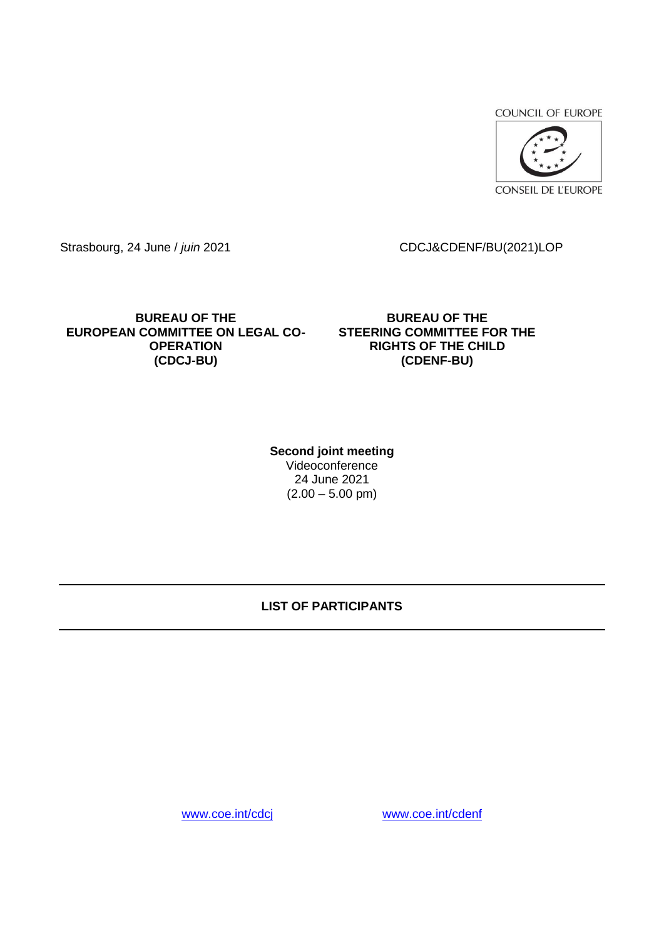**COUNCIL OF EUROPE** 



Strasbourg, 24 June / *juin* 2021 CDCJ&CDENF/BU(2021)LOP

**BUREAU OF THE EUROPEAN COMMITTEE ON LEGAL CO-OPERATION (CDCJ-BU)** 

**BUREAU OF THE STEERING COMMITTEE FOR THE RIGHTS OF THE CHILD (CDENF-BU)**

**Second joint meeting**  Videoconference 24 June 2021  $(2.00 - 5.00 \text{ pm})$ 

## **LIST OF PARTICIPANTS**

[www.coe.int/cdcj](http://www.coe.int/cdcj) [www.coe.int/cdenf](http://www.coe.int/cdenf)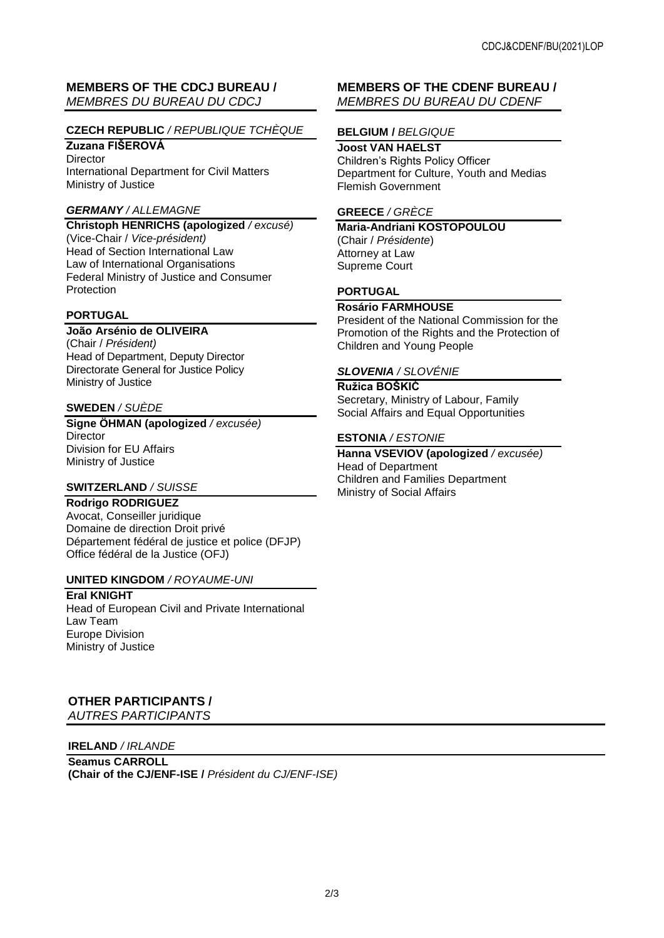## **MEMBERS OF THE CDCJ BUREAU /**  *MEMBRES DU BUREAU DU CDCJ*

## **CZECH REPUBLIC** */ REPUBLIQUE TCHÈQUE*

# **Zuzana FIŠEROVÁ**

**Director** International Department for Civil Matters Ministry of Justice

#### *GERMANY / ALLEMAGNE*

**Christoph HENRICHS (apologized** */ excusé)* (Vice-Chair / *Vice-président)* Head of Section International Law Law of International Organisations Federal Ministry of Justice and Consumer Protection

## **PORTUGAL**

### **João Arsénio de OLIVEIRA**

(Chair / *Président)* Head of Department, Deputy Director Directorate General for Justice Policy Ministry of Justice

#### **SWEDEN** */ SUÈDE*

**Signe ÖHMAN (apologized** */ excusée)* **Director** Division for EU Affairs Ministry of Justice

#### **SWITZERLAND** */ SUISSE*

#### **Rodrigo RODRIGUEZ**

Avocat, Conseiller juridique Domaine de direction Droit privé Département fédéral de justice et police (DFJP) Office fédéral de la Justice (OFJ)

#### **UNITED KINGDOM** */ ROYAUME-UNI*

**Eral KNIGHT** Head of European Civil and Private International Law Team Europe Division Ministry of Justice

# **OTHER PARTICIPANTS /**

*AUTRES PARTICIPANTS* 

#### **IRELAND** */ IRLANDE*

**Seamus CARROLL (Chair of the CJ/ENF-ISE /** *Président du CJ/ENF-ISE)*

## **MEMBERS OF THE CDENF BUREAU /**  *MEMBRES DU BUREAU DU CDENF*

#### **BELGIUM /** *BELGIQUE*

**Joost VAN HAELST**  Children's Rights Policy Officer Department for Culture, Youth and Medias Flemish Government

#### **GREECE** */ GRÈCE*

**Maria-Andriani KOSTOPOULOU**  (Chair / *Présidente*) Attorney at Law Supreme Court

#### **PORTUGAL**

#### **Rosário FARMHOUSE**

President of the National Commission for the Promotion of the Rights and the Protection of Children and Young People

#### *SLOVENIA / SLOVÉNIE*

**Ružica BOŠKIĆ**  Secretary, Ministry of Labour, Family Social Affairs and Equal Opportunities

#### **ESTONIA** */ ESTONIE*

**Hanna VSEVIOV (apologized** */ excusée)* Head of Department Children and Families Department Ministry of Social Affairs